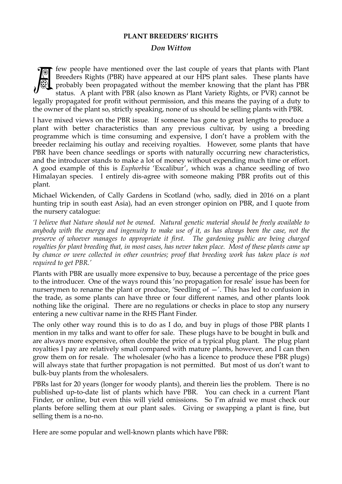## **PLANT BREEDERS' RIGHTS**

## *Don Witton*



few people have mentioned over the last couple of years that plants with Plant Breeders Rights (PBR) have appeared at our HPS plant sales. These plants have probably been propagated without the member knowing that the plant has PBR status. A plant with PBR (also known as Plant Variety Rights, or PVR) cannot be

legally propagated for profit without permission, and this means the paying of a duty to the owner of the plant so, strictly speaking, none of us should be selling plants with PBR.

I have mixed views on the PBR issue. If someone has gone to great lengths to produce a plant with better characteristics than any previous cultivar, by using a breeding programme which is time consuming and expensive, I don't have a problem with the breeder reclaiming his outlay and receiving royalties. However, some plants that have PBR have been chance seedlings or sports with naturally occurring new characteristics, and the introducer stands to make a lot of money without expending much time or effort. A good example of this is *Euphorbia* 'Excalibur', which was a chance seedling of two Himalayan species. I entirely dis-agree with someone making PBR profits out of this plant.

Michael Wickenden, of Cally Gardens in Scotland (who, sadly, died in 2016 on a plant hunting trip in south east Asia), had an even stronger opinion on PBR, and I quote from the nursery catalogue:

*'I believe that Nature should not be owned. Natural genetic material should be freely available to anybody with the energy and ingenuity to make use of it, as has always been the case, not the preserve of whoever manages to appropriate it first. The gardening public are being charged royalties for plant breeding that, in most cases, has never taken place. Most of these plants came up*  by chance or were collected in other countries; proof that breeding work has taken place is not *required to get PBR.'* 

Plants with PBR are usually more expensive to buy, because a percentage of the price goes to the introducer. One of the ways round this 'no propagation for resale' issue has been for nurserymen to rename the plant or produce, 'Seedling of —'. This has led to confusion in the trade, as some plants can have three or four different names, and other plants look nothing like the original. There are no regulations or checks in place to stop any nursery entering a new cultivar name in the RHS Plant Finder.

The only other way round this is to do as I do, and buy in plugs of those PBR plants I mention in my talks and want to offer for sale. These plugs have to be bought in bulk and are always more expensive, often double the price of a typical plug plant. The plug plant royalties I pay are relatively small compared with mature plants, however, and I can then grow them on for resale. The wholesaler (who has a licence to produce these PBR plugs) will always state that further propagation is not permitted. But most of us don't want to bulk-buy plants from the wholesalers.

PBRs last for 20 years (longer for woody plants), and therein lies the problem. There is no published up-to-date list of plants which have PBR. You can check in a current Plant Finder, or online, but even this will yield omissions. So I'm afraid we must check our plants before selling them at our plant sales. Giving or swapping a plant is fine, but selling them is a no-no.

Here are some popular and well-known plants which have PBR: